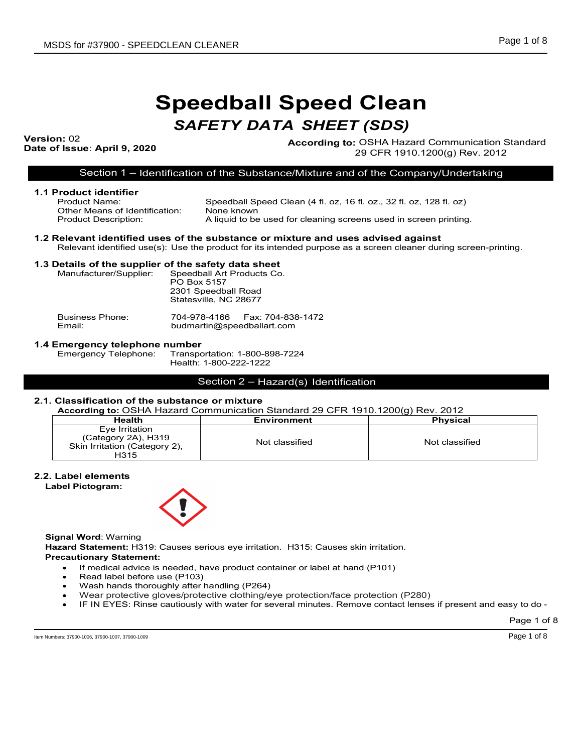# **Speedball Speed Clean**

# *SAFETY DATA SHEET (SDS)*

Version: 02<br>Date of Issue: April 9, 2020

**According to: OSHA Hazard Communication Standard** 29 CFR 1910.1200(g) Rev. 2012

Section 1 – Identification of the Substance/Mixture and of the Company/Undertaking

| 1.1 Product identifier<br>Product Name:<br>Other Means of Identification:<br><b>Product Description:</b> | Speedball Speed Clean (4 fl. oz, 16 fl. oz., 32 fl. oz, 128 fl. oz)<br>None known<br>A liquid to be used for cleaning screens used in screen printing.                                                |
|----------------------------------------------------------------------------------------------------------|-------------------------------------------------------------------------------------------------------------------------------------------------------------------------------------------------------|
|                                                                                                          | 1.2 Relevant identified uses of the substance or mixture and uses advised against<br>Relevant identified use(s): Use the product for its intended purpose as a screen cleaner during screen-printing. |
| 1.3 Details of the supplier of the safety data sheet                                                     |                                                                                                                                                                                                       |
| Manufacturer/Supplier:                                                                                   | Speedball Art Products Co.<br>PO Box 5157<br>2301 Speedball Road<br>Statesville, NC 28677                                                                                                             |
| <b>Business Phone:</b>                                                                                   | 704-978-4166    Fax: 704-838-1472<br>budmartin@speedballart.com                                                                                                                                       |

# **1.4 Emergency telephone number**

Transportation: 1-800-898-7224 Health: 1-800-222-1222

# Section 2 – Hazard(s) Identification

#### **2.1. Classification of the substance or mixture**

**According to:** OSHA Hazard Communication Standard 29 CFR 1910.1200(g) Rev. 2012

|                                                                                |                | .               |
|--------------------------------------------------------------------------------|----------------|-----------------|
| <b>Health</b>                                                                  | Environment    | <b>Physical</b> |
| Eye Irritation<br>(Category 2A), H319<br>Skin Irritation (Category 2),<br>H315 | Not classified | Not classified  |

#### **2.2. Label elements**

**Label Pictogram:**



**Signal Word**: Warning

**Hazard Statement:** H319: Causes serious eye irritation. H315: Causes skin irritation. **Precautionary Statement:** 

- If medical advice is needed, have product container or label at hand (P101)
- Read label before use (P103)
- Wash hands thoroughly after handling (P264)
- Wear protective gloves/protective clothing/eye protection/face protection (P280)
- IF IN EYES: Rinse cautiously with water for several minutes. Remove contact lenses if present and easy to do -

Page 1 of 8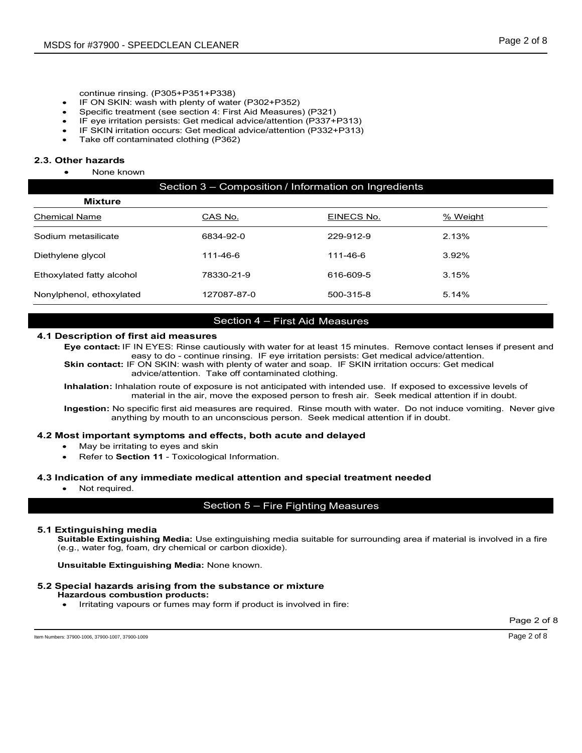- continue rinsing. (P305+P351+P338)
- IF ON SKIN: wash with plenty of water (P302+P352)
- Specific treatment (see section 4: First Aid Measures) (P321)
- IF eye irritation persists: Get medical advice/attention (P337+P313)
- IF SKIN irritation occurs: Get medical advice/attention (P332+P313)
- Take off contaminated clothing (P362)

#### **2.3. Other hazards**

None known

# Section 3 – Composition / Information on Ingredients

| <b>Mixture</b>            |             |            |          |
|---------------------------|-------------|------------|----------|
| <b>Chemical Name</b>      | CAS No.     | EINECS No. | % Weight |
| Sodium metasilicate       | 6834-92-0   | 229-912-9  | 2.13%    |
| Diethylene glycol         | 111-46-6    | 111-46-6   | $3.92\%$ |
| Ethoxylated fatty alcohol | 78330-21-9  | 616-609-5  | 3.15%    |
| Nonylphenol, ethoxylated  | 127087-87-0 | 500-315-8  | 5.14%    |

### Section 4 – First Aid Measures

#### **4.1 Description of first aid measures**

**Eye contact:** IF IN EYES: Rinse cautiously with water for at least 15 minutes. Remove contact lenses if present and easy to do - continue rinsing. IF eye irritation persists: Get medical advice/attention. **Skin contact:** IF ON SKIN: wash with plenty of water and soap. IF SKIN irritation occurs: Get medical

advice/attention. Take off contaminated clothing.

**Inhalation:** Inhalation route of exposure is not anticipated with intended use. If exposed to excessive levels of material in the air, move the exposed person to fresh air. Seek medical attention if in doubt.

**Ingestion:** No specific first aid measures are required. Rinse mouth with water. Do not induce vomiting. Never give anything by mouth to an unconscious person. Seek medical attention if in doubt.

#### **4.2 Most important symptoms and effects, both acute and delayed**

- May be irritating to eyes and skin
- Refer to **Section 11** Toxicological Information.

#### **4.3 Indication of any immediate medical attention and special treatment needed**

• Not required.

# Section 5 – Fire Fighting Measures

#### **5.1 Extinguishing media**

**Suitable Extinguishing Media:** Use extinguishing media suitable for surrounding area if material is involved in a fire (e.g., water fog, foam, dry chemical or carbon dioxide).

**Unsuitable Extinguishing Media:** None known.

#### **5.2 Special hazards arising from the substance or mixture**

#### **Hazardous combustion products:**

• Irritating vapours or fumes may form if product is involved in fire:

Page 2 of 8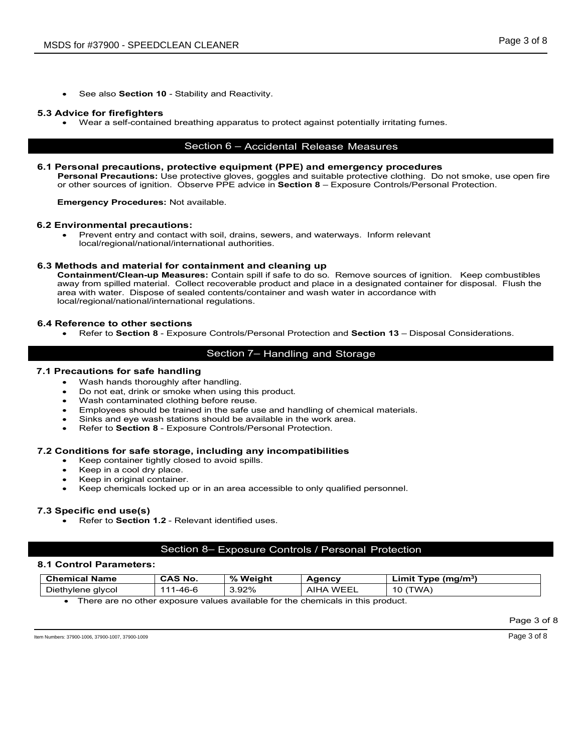See also **Section 10** - Stability and Reactivity.

#### **5.3 Advice for firefighters**

• Wear a self-contained breathing apparatus to protect against potentially irritating fumes.

# Section 6 – Accidental Release Measures

#### **6.1 Personal precautions, protective equipment (PPE) and emergency procedures**

**Personal Precautions:** Use protective gloves, goggles and suitable protective clothing. Do not smoke, use open fire or other sources of ignition.Observe PPE advice in **Section 8** – Exposure Controls/Personal Protection.

**Emergency Procedures:** Not available.

#### **6.2 Environmental precautions:**

• Prevent entry and contact with soil, drains, sewers, and waterways. Inform relevant local/regional/national/international authorities.

#### **6.3 Methods and material for containment and cleaning up**

**Containment/Clean-up Measures:** Contain spill if safe to do so. Remove sources of ignition. Keep combustibles away from spilled material. Collect recoverable product and place in a designated container for disposal. Flush the area with water. Dispose of sealed contents/container and wash water in accordance with local/regional/national/international regulations.

#### **6.4 Reference to other sections**

• Refer to **Section 8** - Exposure Controls/Personal Protection and **Section 13** – Disposal Considerations.

# Section 7– Handling and Storage

#### **7.1 Precautions for safe handling**

- Wash hands thoroughly after handling.
- Do not eat, drink or smoke when using this product.
- Wash contaminated clothing before reuse.
- Employees should be trained in the safe use and handling of chemical materials.
- Sinks and eye wash stations should be available in the work area.
- Refer to **Section 8** Exposure Controls/Personal Protection.

#### **7.2 Conditions for safe storage, including any incompatibilities**

- Keep container tightly closed to avoid spills.
- Keep in a cool dry place.
- Keep in original container.
- Keep chemicals locked up or in an area accessible to only qualified personnel.

#### **7.3 Specific end use(s)**

• Refer to **Section 1.2** - Relevant identified uses.

#### Section 8– Exposure Controls / Personal Protection

#### **8.1 Control Parameters:**

| <b>Chemical Name</b> | <b>CAS No.</b> | % Weiaht | Agency        | Limit Type (mg/m <sup>3)</sup> |
|----------------------|----------------|----------|---------------|--------------------------------|
| Diethylene glycol    | 1-46-6<br>444  | 3.92%    | `WEEL<br>AIHA | 10 (TWA)                       |

There are no other exposure values available for the chemicals in this product.

Page 3 of 8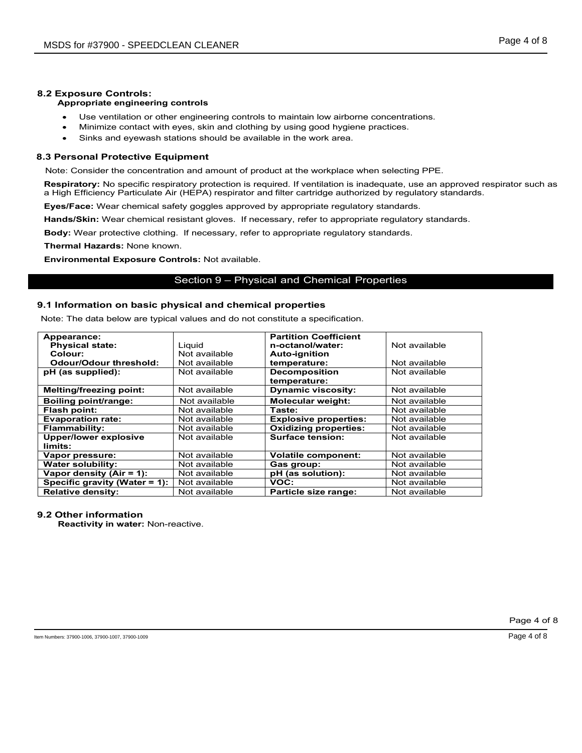# **8.2 Exposure Controls:**

## **Appropriate engineering controls**

- Use ventilation or other engineering controls to maintain low airborne concentrations.
- Minimize contact with eyes, skin and clothing by using good hygiene practices.
- Sinks and eyewash stations should be available in the work area.

#### **8.3 Personal Protective Equipment**

Note: Consider the concentration and amount of product at the workplace when selecting PPE.

**Respiratory:** No specific respiratory protection is required. If ventilation is inadequate, use an approved respirator such as a High Efficiency Particulate Air (HEPA) respirator and filter cartridge authorized by regulatory standards.

**Eyes/Face:** Wear chemical safety goggles approved by appropriate regulatory standards.

**Hands/Skin:** Wear chemical resistant gloves. If necessary, refer to appropriate regulatory standards.

**Body:** Wear protective clothing. If necessary, refer to appropriate regulatory standards.

**Thermal Hazards:** None known.

**Environmental Exposure Controls:** Not available.

#### Section 9 – Physical and Chemical Properties

#### **9.1 Information on basic physical and chemical properties**

Note: The data below are typical values and do not constitute a specification.

| Appearance:                    |               | <b>Partition Coefficient</b> |               |
|--------------------------------|---------------|------------------------------|---------------|
| <b>Physical state:</b>         | Liquid        | n-octanol/water:             | Not available |
| Colour:                        | Not available | <b>Auto-ignition</b>         |               |
| Odour/Odour threshold:         | Not available | temperature:                 | Not available |
| pH (as supplied):              | Not available | <b>Decomposition</b>         | Not available |
|                                |               | temperature:                 |               |
| <b>Melting/freezing point:</b> | Not available | <b>Dynamic viscosity:</b>    | Not available |
| Boiling point/range:           | Not available | Molecular weight:            | Not available |
| Flash point:                   | Not available | Taste:                       | Not available |
| <b>Evaporation rate:</b>       | Not available | <b>Explosive properties:</b> | Not available |
| <b>Flammability:</b>           | Not available | <b>Oxidizing properties:</b> | Not available |
| <b>Upper/lower explosive</b>   | Not available | <b>Surface tension:</b>      | Not available |
| limits:                        |               |                              |               |
| Vapor pressure:                | Not available | <b>Volatile component:</b>   | Not available |
| <b>Water solubility:</b>       | Not available | Gas group:                   | Not available |
| Vapor density $(Air = 1)$ :    | Not available | pH (as solution):            | Not available |
| Specific gravity (Water = 1):  | Not available | VOC:                         | Not available |
| <b>Relative density:</b>       | Not available | Particle size range:         | Not available |

#### **9.2 Other information**

**Reactivity in water:** Non-reactive.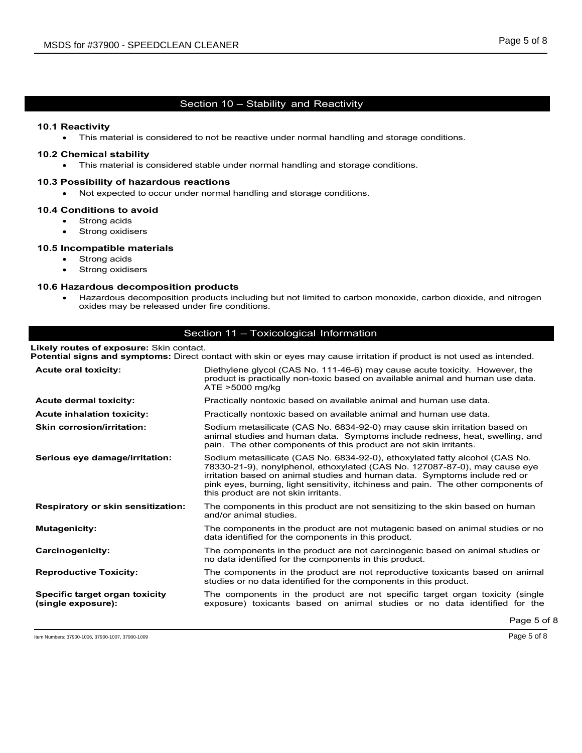# Section 10 – Stability and Reactivity

#### **10.1 Reactivity**

• This material is considered to not be reactive under normal handling and storage conditions.

#### **10.2 Chemical stability**

• This material is considered stable under normal handling and storage conditions.

#### **10.3 Possibility of hazardous reactions**

• Not expected to occur under normal handling and storage conditions.

#### **10.4 Conditions to avoid**

- Strong acids
- Strong oxidisers

#### **10.5 Incompatible materials**

- Strong acids
- Strong oxidisers

### **10.6 Hazardous decomposition products**

• Hazardous decomposition products including but not limited to carbon monoxide, carbon dioxide, and nitrogen oxides may be released under fire conditions.

#### Section 11 – Toxicological Information

#### **Likely routes of exposure:** Skin contact.

**Potential signs and symptoms:** Direct contact with skin or eyes may cause irritation if product is not used as intended.

| <b>Acute oral toxicity:</b>                          | Diethylene glycol (CAS No. 111-46-6) may cause acute toxicity. However, the<br>product is practically non-toxic based on available animal and human use data.<br>ATE >5000 mg/kg                                                                                                                                                                                      |
|------------------------------------------------------|-----------------------------------------------------------------------------------------------------------------------------------------------------------------------------------------------------------------------------------------------------------------------------------------------------------------------------------------------------------------------|
| <b>Acute dermal toxicity:</b>                        | Practically nontoxic based on available animal and human use data.                                                                                                                                                                                                                                                                                                    |
| <b>Acute inhalation toxicity:</b>                    | Practically nontoxic based on available animal and human use data.                                                                                                                                                                                                                                                                                                    |
| <b>Skin corrosion/irritation:</b>                    | Sodium metasilicate (CAS No. 6834-92-0) may cause skin irritation based on<br>animal studies and human data. Symptoms include redness, heat, swelling, and<br>pain. The other components of this product are not skin irritants.                                                                                                                                      |
| Serious eye damage/irritation:                       | Sodium metasilicate (CAS No. 6834-92-0), ethoxylated fatty alcohol (CAS No.<br>78330-21-9), nonylphenol, ethoxylated (CAS No. 127087-87-0), may cause eye<br>irritation based on animal studies and human data. Symptoms include red or<br>pink eyes, burning, light sensitivity, itchiness and pain. The other components of<br>this product are not skin irritants. |
| Respiratory or skin sensitization:                   | The components in this product are not sensitizing to the skin based on human<br>and/or animal studies.                                                                                                                                                                                                                                                               |
| <b>Mutagenicity:</b>                                 | The components in the product are not mutagenic based on animal studies or no<br>data identified for the components in this product.                                                                                                                                                                                                                                  |
| Carcinogenicity:                                     | The components in the product are not carcinogenic based on animal studies or<br>no data identified for the components in this product.                                                                                                                                                                                                                               |
| <b>Reproductive Toxicity:</b>                        | The components in the product are not reproductive toxicants based on animal<br>studies or no data identified for the components in this product.                                                                                                                                                                                                                     |
| Specific target organ toxicity<br>(single exposure): | The components in the product are not specific target organ toxicity (single<br>exposure) toxicants based on animal studies or no data identified for the                                                                                                                                                                                                             |
|                                                      | $Proof F \alpha$                                                                                                                                                                                                                                                                                                                                                      |

Item Numbers: 37900-1006, 37900-1007, 37900-1009 Page 5 of 8

Page 5 of 8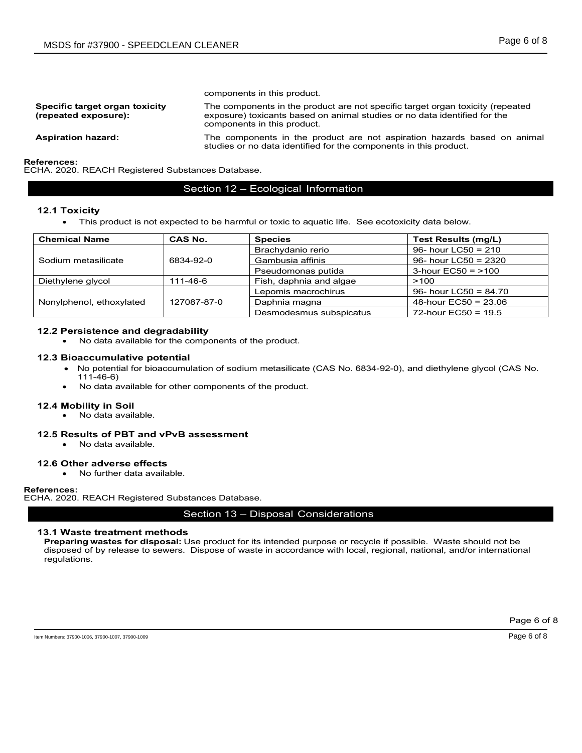|                                                        | components in this product.                                                                                                                                                                |
|--------------------------------------------------------|--------------------------------------------------------------------------------------------------------------------------------------------------------------------------------------------|
| Specific target organ toxicity<br>(repeated exposure): | The components in the product are not specific target organ toxicity (repeated<br>exposure) toxicants based on animal studies or no data identified for the<br>components in this product. |
| <b>Aspiration hazard:</b>                              | The components in the product are not aspiration hazards based on animal<br>studies or no data identified for the components in this product.                                              |

**References:**

ECHA. 2020. REACH Registered Substances Database.

#### Section 12 – Ecological Information

#### **12.1 Toxicity**

• This product is not expected to be harmful or toxic to aquatic life. See ecotoxicity data below.

| <b>Chemical Name</b>     | <b>CAS No.</b> | <b>Species</b>          | Test Results (mg/L)     |
|--------------------------|----------------|-------------------------|-------------------------|
|                          |                | Brachydanio rerio       | 96- hour LC50 = $210$   |
| Sodium metasilicate      | 6834-92-0      | Gambusia affinis        | 96- hour LC50 = $2320$  |
|                          |                | Pseudomonas putida      | 3-hour $EC50 = 100$     |
| Diethylene glycol        | 111-46-6       | Fish, daphnia and algae | >100                    |
|                          |                | Lepomis macrochirus     | 96- hour LC50 = $84.70$ |
| Nonylphenol, ethoxylated | 127087-87-0    | Daphnia magna           | 48-hour $EC50 = 23.06$  |
|                          |                | Desmodesmus subspicatus | 72-hour $EC50 = 19.5$   |

#### **12.2 Persistence and degradability**

• No data available for the components of the product.

#### **12.3 Bioaccumulative potential**

- No potential for bioaccumulation of sodium metasilicate (CAS No. 6834-92-0), and diethylene glycol (CAS No. 111-46-6)
- No data available for other components of the product.

#### **12.4 Mobility in Soil**

• No data available.

#### **12.5 Results of PBT and vPvB assessment**

• No data available.

#### **12.6 Other adverse effects**

• No further data available.

#### **References:**

ECHA. 2020. REACH Registered Substances Database.

### Section 13 – Disposal Considerations

#### **13.1 Waste treatment methods**

**Preparing wastes for disposal:** Use product for its intended purpose or recycle if possible. Waste should not be disposed of by release to sewers. Dispose of waste in accordance with local, regional, national, and/or international regulations.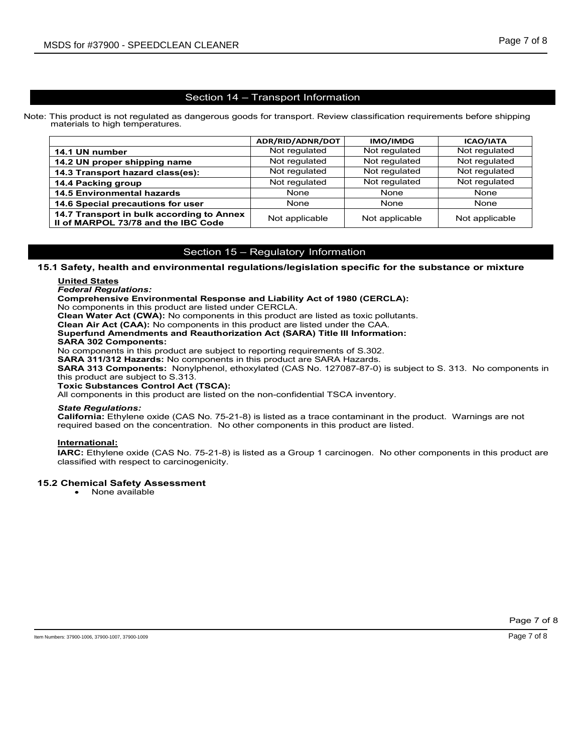#### Section 14 – Transport Information

Note: This product is not regulated as dangerous goods for transport. Review classification requirements before shipping materials to high temperatures.

|                                                                                  | ADR/RID/ADNR/DOT | <b>IMO/IMDG</b> | <b>ICAO/IATA</b> |
|----------------------------------------------------------------------------------|------------------|-----------------|------------------|
| 14.1 UN number                                                                   | Not regulated    | Not regulated   | Not regulated    |
| 14.2 UN proper shipping name                                                     | Not regulated    | Not regulated   | Not regulated    |
| 14.3 Transport hazard class(es):                                                 | Not regulated    | Not regulated   | Not regulated    |
| 14.4 Packing group                                                               | Not regulated    | Not regulated   | Not regulated    |
| <b>14.5 Environmental hazards</b>                                                | <b>None</b>      | None            | None             |
| 14.6 Special precautions for user                                                | None             | None            | None             |
| 14.7 Transport in bulk according to Annex<br>II of MARPOL 73/78 and the IBC Code | Not applicable   | Not applicable  | Not applicable   |

# Section 15 – Regulatory Information

#### **15.1 Safety, health and environmental regulations/legislation specific for the substance or mixture**

#### **United States**

# *Federal Regulations:*

**Comprehensive Environmental Response and Liability Act of 1980 (CERCLA):** 

No components in this product are listed under CERCLA.

**Clean Water Act (CWA):** No components in this product are listed as toxic pollutants.

**Clean Air Act (CAA):** No components in this product are listed under the CAA.

**Superfund Amendments and Reauthorization Act (SARA) Title III Information:**

#### **SARA 302 Components:**

No components in this product are subject to reporting requirements of S.302.

**SARA 311/312 Hazards:** No components in this product are SARA Hazards.

**SARA 313 Components:** Nonylphenol, ethoxylated (CAS No. 127087-87-0) is subject to S. 313. No components in this product are subject to S.313.

**Toxic Substances Control Act (TSCA):**

All components in this product are listed on the non-confidential TSCA inventory.

#### *State Regulations:*

**California:** Ethylene oxide (CAS No. 75-21-8) is listed as a trace contaminant in the product. Warnings are not required based on the concentration. No other components in this product are listed.

#### **International:**

**IARC:** Ethylene oxide (CAS No. 75-21-8) is listed as a Group 1 carcinogen. No other components in this product are classified with respect to carcinogenicity.

#### **15.2 Chemical Safety Assessment**

• None available